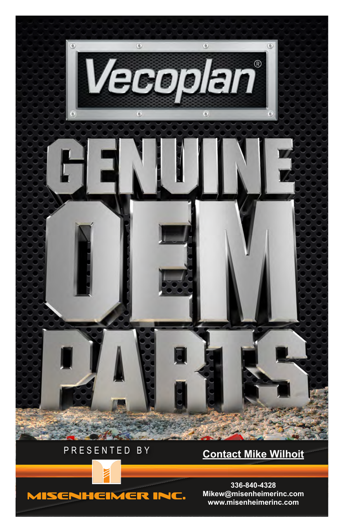



**336-840-4328 Mikew@misenheimerinc.com www.misenheimerinc.com**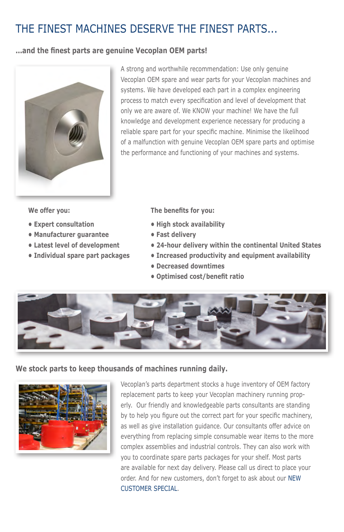## THE FINEST MACHINES DESERVE THE FINEST PARTS...

#### **...and the finest parts are genuine Vecoplan OEM parts!**



A strong and worthwhile recommendation: Use only genuine Vecoplan OEM spare and wear parts for your Vecoplan machines and systems. We have developed each part in a complex engineering process to match every specification and level of development that only we are aware of. We KNOW your machine! We have the full knowledge and development experience necessary for producing a reliable spare part for your specific machine. Minimise the likelihood of a malfunction with genuine Vecoplan OEM spare parts and optimise the performance and functioning of your machines and systems.

**We offer you:**

- **Expert consultation**
- **Manufacturer guarantee**
- **Latest level of development**
- **Individual spare part packages**

**The benefits for you:**

- **High stock availability**
- **Fast delivery**
- **24-hour delivery within the continental United States**
- **Increased productivity and equipment availability**
- **Decreased downtimes**
- **Optimised cost/benefit ratio**



### **We stock parts to keep thousands of machines running daily.**



Vecoplan's parts department stocks a huge inventory of OEM factory replacement parts to keep your Vecoplan machinery running properly. Our friendly and knowledgeable parts consultants are standing by to help you figure out the correct part for your specific machinery, as well as give installation guidance. Our consultants offer advice on everything from replacing simple consumable wear items to the more complex assemblies and industrial controls. They can also work with you to coordinate spare parts packages for your shelf. Most parts are available for next day delivery. Please call us direct to place your order. And for new customers, don't forget to ask about our NEW CUSTOMER SPECIAL.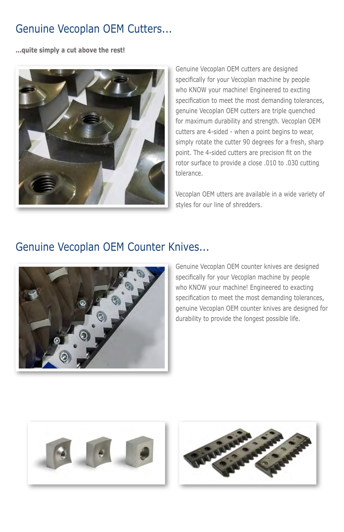### Genuine Vecoplan OEM Cutters...

**...quite simply a cut above the rest!**



Genuine Vecoplan OEM cutters are designed specifically for your Vecoplan machine by people who KNOW your machine! Engineered to excting specification to meet the most demanding tolerances, genuine Vecoplan OEM cutters are triple quenched for maximum durability and strength. Vecoplan OEM cutters are 4-sided - when a point begins to wear, simply rotate the cutter 90 degrees for a fresh, sharp point. The 4-sided cutters are precision fit on the rotor surface to provide a close .010 to .030 cutting tolerance.

Vecoplan OEM utters are available in a wide variety of styles for our line of shredders.

### Genuine Vecoplan OEM Counter Knives...



Genuine Vecoplan OEM counter knives are designed specifically for your Vecoplan machine by people who KNOW your machine! Engineered to exacting specification to meet the most demanding tolerances, genuine Vecoplan OEM counter knives are designed for durability to provide the longest possible life.